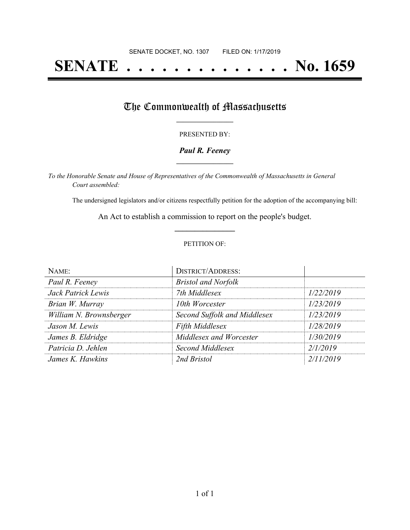# **SENATE . . . . . . . . . . . . . . No. 1659**

### The Commonwealth of Massachusetts

#### PRESENTED BY:

#### *Paul R. Feeney* **\_\_\_\_\_\_\_\_\_\_\_\_\_\_\_\_\_**

*To the Honorable Senate and House of Representatives of the Commonwealth of Massachusetts in General Court assembled:*

The undersigned legislators and/or citizens respectfully petition for the adoption of the accompanying bill:

An Act to establish a commission to report on the people's budget. **\_\_\_\_\_\_\_\_\_\_\_\_\_\_\_**

#### PETITION OF:

| NAME:                   | <b>DISTRICT/ADDRESS:</b>     |           |
|-------------------------|------------------------------|-----------|
| Paul R. Feeney          | <b>Bristol and Norfolk</b>   |           |
| Jack Patrick Lewis      | 7th Middlesex                | 1/22/2019 |
| Brian W. Murray         | 10th Worcester               | 1/23/2019 |
| William N. Brownsberger | Second Suffolk and Middlesex | 1/23/2019 |
| Jason M. Lewis          | Fifth Middlesex              | 1/28/2019 |
| James B. Eldridge       | Middlesex and Worcester      | 1/30/2019 |
| Patricia D. Jehlen      | Second Middlesex             | 2/1/2019  |
| James K. Hawkins        | 2nd Bristol                  | 2/11/2019 |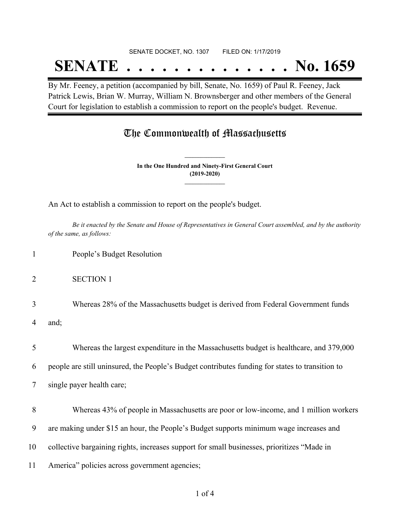#### SENATE DOCKET, NO. 1307 FILED ON: 1/17/2019

## **SENATE . . . . . . . . . . . . . . No. 1659**

By Mr. Feeney, a petition (accompanied by bill, Senate, No. 1659) of Paul R. Feeney, Jack Patrick Lewis, Brian W. Murray, William N. Brownsberger and other members of the General Court for legislation to establish a commission to report on the people's budget. Revenue.

## The Commonwealth of Massachusetts

**In the One Hundred and Ninety-First General Court (2019-2020) \_\_\_\_\_\_\_\_\_\_\_\_\_\_\_**

**\_\_\_\_\_\_\_\_\_\_\_\_\_\_\_**

An Act to establish a commission to report on the people's budget.

Be it enacted by the Senate and House of Representatives in General Court assembled, and by the authority *of the same, as follows:*

- 1 People's Budget Resolution
- 2 SECTION 1
- 3 Whereas 28% of the Massachusetts budget is derived from Federal Government funds

4 and;

5 Whereas the largest expenditure in the Massachusetts budget is healthcare, and 379,000

6 people are still uninsured, the People's Budget contributes funding for states to transition to

7 single payer health care;

 Whereas 43% of people in Massachusetts are poor or low-income, and 1 million workers are making under \$15 an hour, the People's Budget supports minimum wage increases and collective bargaining rights, increases support for small businesses, prioritizes "Made in America" policies across government agencies;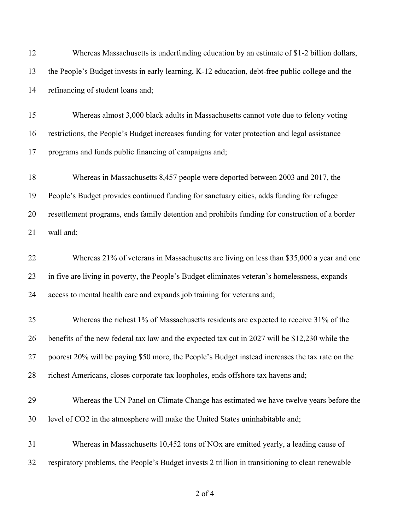| 12 | Whereas Massachusetts is underfunding education by an estimate of \$1-2 billion dollars,         |
|----|--------------------------------------------------------------------------------------------------|
| 13 | the People's Budget invests in early learning, K-12 education, debt-free public college and the  |
| 14 | refinancing of student loans and;                                                                |
| 15 | Whereas almost 3,000 black adults in Massachusetts cannot vote due to felony voting              |
| 16 | restrictions, the People's Budget increases funding for voter protection and legal assistance    |
| 17 | programs and funds public financing of campaigns and;                                            |
| 18 | Whereas in Massachusetts 8,457 people were deported between 2003 and 2017, the                   |
| 19 | People's Budget provides continued funding for sanctuary cities, adds funding for refugee        |
| 20 | resettlement programs, ends family detention and prohibits funding for construction of a border  |
| 21 | wall and;                                                                                        |
| 22 | Whereas 21% of veterans in Massachusetts are living on less than \$35,000 a year and one         |
| 23 | in five are living in poverty, the People's Budget eliminates veteran's homelessness, expands    |
| 24 | access to mental health care and expands job training for veterans and;                          |
| 25 | Whereas the richest 1% of Massachusetts residents are expected to receive 31% of the             |
| 26 | benefits of the new federal tax law and the expected tax cut in 2027 will be \$12,230 while the  |
| 27 | poorest 20% will be paying \$50 more, the People's Budget instead increases the tax rate on the  |
| 28 | richest Americans, closes corporate tax loopholes, ends offshore tax havens and;                 |
| 29 | Whereas the UN Panel on Climate Change has estimated we have twelve years before the             |
| 30 | level of CO2 in the atmosphere will make the United States uninhabitable and;                    |
| 31 | Whereas in Massachusetts 10,452 tons of NOx are emitted yearly, a leading cause of               |
| 32 | respiratory problems, the People's Budget invests 2 trillion in transitioning to clean renewable |

of 4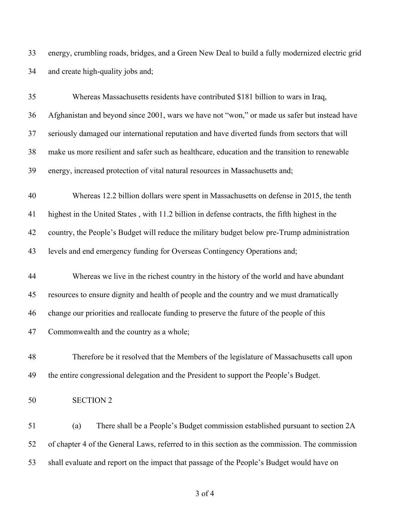energy, crumbling roads, bridges, and a Green New Deal to build a fully modernized electric grid and create high-quality jobs and;

| 35 | Whereas Massachusetts residents have contributed \$181 billion to wars in Iraq,                 |
|----|-------------------------------------------------------------------------------------------------|
| 36 | Afghanistan and beyond since 2001, wars we have not "won," or made us safer but instead have    |
| 37 | seriously damaged our international reputation and have diverted funds from sectors that will   |
| 38 | make us more resilient and safer such as healthcare, education and the transition to renewable  |
| 39 | energy, increased protection of vital natural resources in Massachusetts and;                   |
| 40 | Whereas 12.2 billion dollars were spent in Massachusetts on defense in 2015, the tenth          |
| 41 | highest in the United States, with 11.2 billion in defense contracts, the fifth highest in the  |
| 42 | country, the People's Budget will reduce the military budget below pre-Trump administration     |
| 43 | levels and end emergency funding for Overseas Contingency Operations and;                       |
| 44 | Whereas we live in the richest country in the history of the world and have abundant            |
| 45 | resources to ensure dignity and health of people and the country and we must dramatically       |
| 46 | change our priorities and reallocate funding to preserve the future of the people of this       |
| 47 | Commonwealth and the country as a whole;                                                        |
| 48 | Therefore be it resolved that the Members of the legislature of Massachusetts call upon         |
| 49 | the entire congressional delegation and the President to support the People's Budget.           |
| 50 | <b>SECTION 2</b>                                                                                |
| 51 | There shall be a People's Budget commission established pursuant to section 2A<br>(a)           |
| 52 | of chapter 4 of the General Laws, referred to in this section as the commission. The commission |
| 53 | shall evaluate and report on the impact that passage of the People's Budget would have on       |
|    |                                                                                                 |